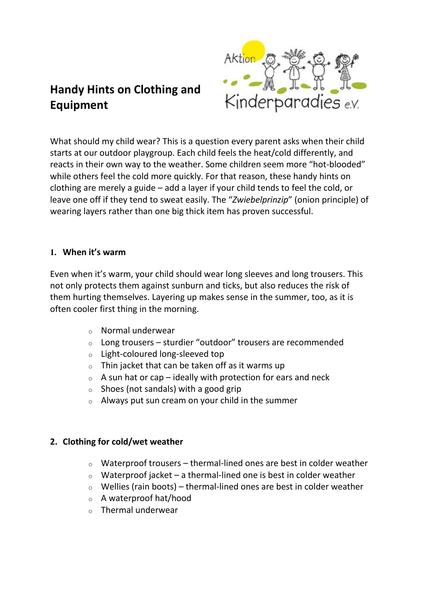# **Handy Hints on Clothing and Equipment**



What should my child wear? This is a question every parent asks when their child starts at our outdoor playgroup. Each child feels the heat/cold differently, and reacts in their own way to the weather. Some children seem more "hot-blooded" while others feel the cold more quickly. For that reason, these handy hints on clothing are merely a guide – add a layer if your child tends to feel the cold, or leave one off if they tend to sweat easily. The "*Zwiebelprinzip*" (onion principle) of wearing layers rather than one big thick item has proven successful.

## **1. When it's warm**

Even when it's warm, your child should wear long sleeves and long trousers. This not only protects them against sunburn and ticks, but also reduces the risk of them hurting themselves. Layering up makes sense in the summer, too, as it is often cooler first thing in the morning.

- o Normal underwear
- $\circ$  Long trousers sturdier "outdoor" trousers are recommended
- o Light-coloured long-sleeved top
- $\circ$  Thin jacket that can be taken off as it warms up
- $\circ$  A sun hat or cap ideally with protection for ears and neck
- $\circ$  Shoes (not sandals) with a good grip
- o Always put sun cream on your child in the summer

#### **2. Clothing for cold/wet weather**

- $\circ$  Waterproof trousers thermal-lined ones are best in colder weather
- $\circ$  Waterproof jacket a thermal-lined one is best in colder weather
- $\circ$  Wellies (rain boots) thermal-lined ones are best in colder weather
- o A waterproof hat/hood
- $\circ$  Thermal underwear